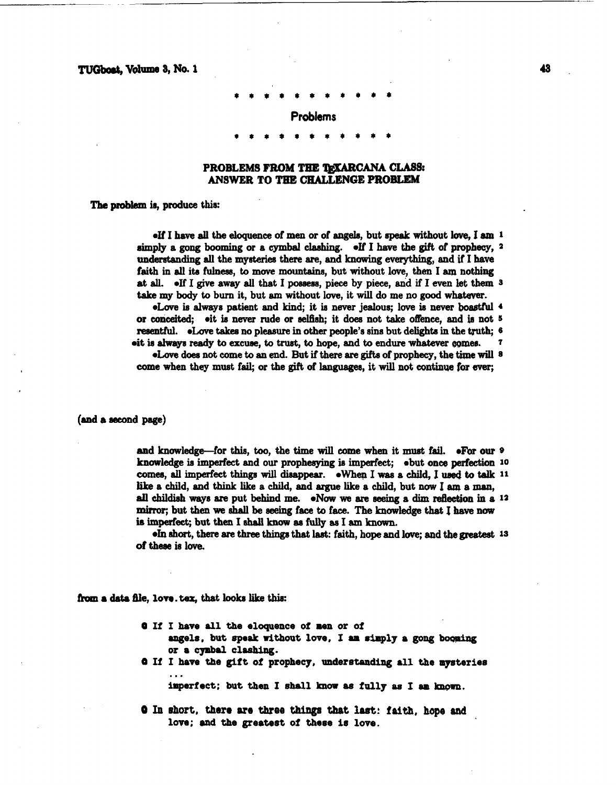TUGboat, Volume 3, No. 1

## **Problems**

## **PROBLEMS FROM THE '&XARCANA CLASS: ANSWER TO TBE CHALLENGE PROBLEM**

The **probkm** is, produce this:

**eIf I have all the eloquence of men or of angels, but speak without love, I am 1** hply a **gong booming** or a cymbal clashing. eIf I have the **gift** of prophecy, **<sup>2</sup> understanding all** the **mysteries** there are, and knowing **everything,** and **if** I **have**  faith in **all** its fulneas, **to** move mountains, but without love, then I **am** nothing at **all.** eIf I **give away all** that I **poseem,** piece by piece, and if I **even** let them **<sup>3</sup> take** my body to burn it, but **em** without lave, it will do me no **good** whatever.

eLove is always patient and kind; it is never jealous; love is never boastful 4 or conceited; oit is never rude or selfish; it does not take offence, and is not <sup>5</sup> resentful.  $\bullet$ Love takes no pleasure in other people's sins but delights in the truth;  $\circ$  $\bullet$ **it is always ready to excuse, to trust, to hope, and to endure whatever comes.** 

**.Lave** does not **come** to an end. But if there **are** gifts of prophecy, the **time will** 8 come when they must fail; or the gift **of** languages, it will not **continue for ever;** 

**(and a second page)** 

and knowledge-for **this, too,** the time **will** come **when** it **must** fail. \*Far our **<sup>9</sup>** knowledge **is** imperfect and our prophesying **ie** imperfect; ebut **once perfection 10**  comes, **all** imperfect things will **dieappear.** @When I **was** a **child, I: used to tdk <sup>11</sup>** like a child, and think like a child, and argue like a child, but now I am a man, **ail childish** ways **are** put behind **me.** eNw **we** are **seeing a dim reflection in** a **<sup>12</sup>** mirror; but then **we** shall **be seeing** face to face. **The** knowledge that I **have** now is imperfect; but then I shall know as fully as I am known.

**\*In** short, there **are** three things that lest: faith, hope and love; and the grestest **1s**  of these is love.

from a data file, love tex, that looks like this:

- **<sup>O</sup>If I have all the eloquence** of **men** or **of**
- angels, but speak without love, I am simply a gong booming **or a cymbal cloehing.**
- **<sup>Q</sup>If I have the gift** of **prophecy, understanding all the mysteries**  ...

**iaperiect; but then I shall know as fully as I am** &mu.

**<sup>O</sup>In ehort, #ere are three things that last: faitb, hope and**  love; and the greatest of these is love.